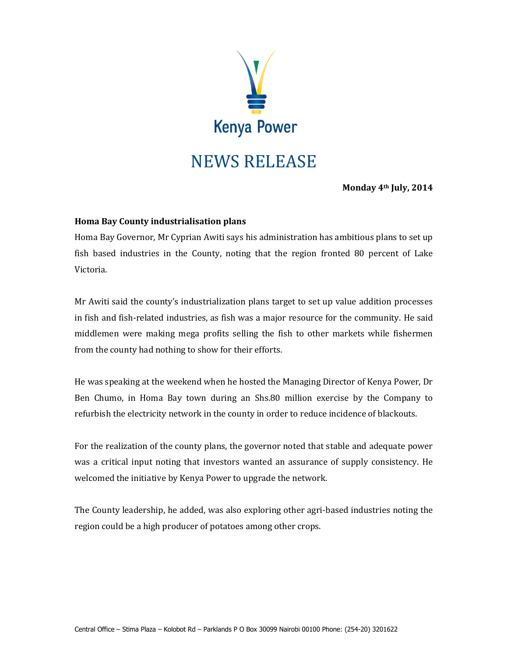

**Monday 4th July, 2014**

## **Homa Bay County industrialisation plans**

Homa Bay Governor, Mr Cyprian Awiti says his administration has ambitious plans to set up fish based industries in the County, noting that the region fronted 80 percent of Lake Victoria.

Mr Awiti said the county's industrialization plans target to set up value addition processes in fish and fish-related industries, as fish was a major resource for the community. He said middlemen were making mega profits selling the fish to other markets while fishermen from the county had nothing to show for their efforts.

He was speaking at the weekend when he hosted the Managing Director of Kenya Power, Dr Ben Chumo, in Homa Bay town during an Shs.80 million exercise by the Company to refurbish the electricity network in the county in order to reduce incidence of blackouts.

For the realization of the county plans, the governor noted that stable and adequate power was a critical input noting that investors wanted an assurance of supply consistency. He welcomed the initiative by Kenya Power to upgrade the network.

The County leadership, he added, was also exploring other agri-based industries noting the region could be a high producer of potatoes among other crops.